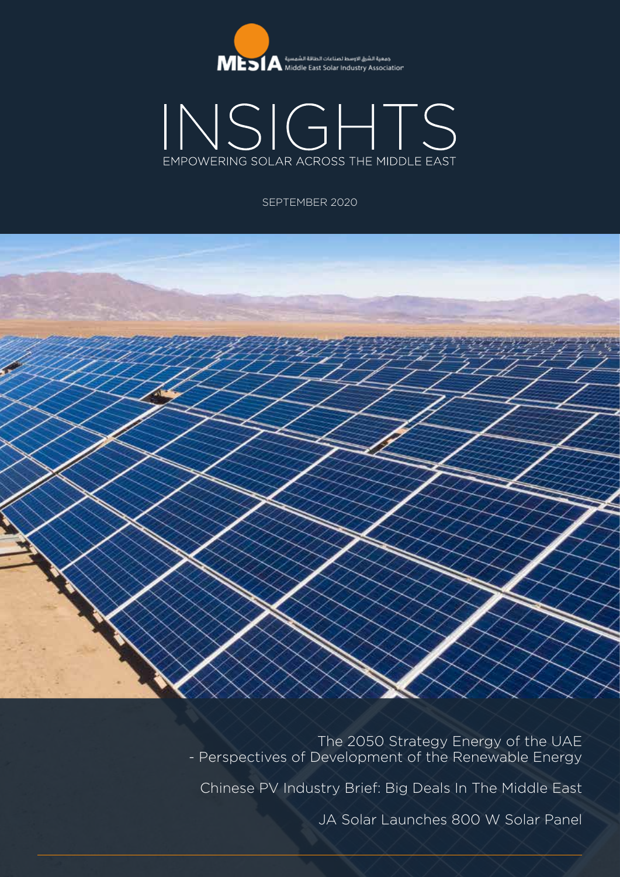



#### SEPTEMBER 2020



The 2050 Strategy Energy of the UAE - Perspectives of Development of the Renewable Energy

Chinese PV Industry Brief: Big Deals In The Middle East

JA Solar Launches 800 W Solar Panel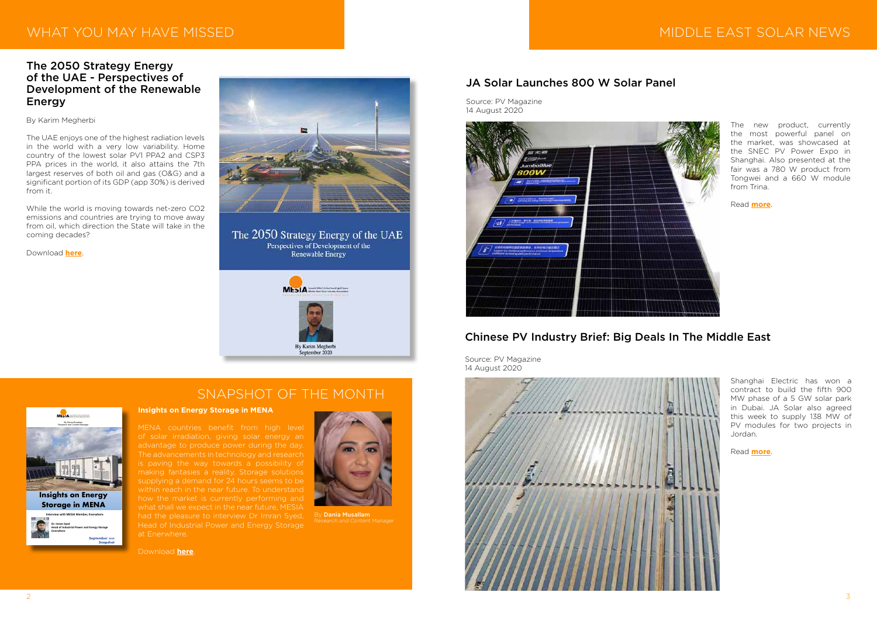## WHAT YOU MAY HAVE MISSED



#### The 2050 Strategy Energy of the UAE - Perspectives of Development of the Renewable Energy

#### By Karim Megherbi

The UAE enjoys one of the highest radiation levels in the world with a very low variability. Home country of the lowest solar PV1 PPA2 and CSP3 PPA prices in the world, it also attains the 7th largest reserves of both oil and gas (O&G) and a significant portion of its GDP (app 30%) is derived from it.

While the world is moving towards net-zero CO2 emissions and countries are trying to move away from oil, which direction the State will take in the coming decades?

Download **[here](http://www.mesia.com/karims-article-_september-2020/)**.



#### The 2050 Strategy Energy of the UAE Perspectives of Development of the

**Renewable Energy** 



# MIDDLE EAST SOLAR NEWS

#### JA Solar Launches 800 W Solar Panel

Source: PV Magazine 14 August 2020



Shanghai Electric has won a contract to build the fifth 900 MW phase of a 5 GW solar park in Dubai. JA Solar also agreed this week to supply 138 MW of PV modules for two projects in Jordan.

Read **[more](https://www.pv-magazine.com/2020/07/31/chinese-pv-industry-brief-big-deals-in-the-middle-east/)**.

## Chinese PV Industry Brief: Big Deals In The Middle East

Source: PV Magazine 14 August 2020

The new product, currently the most powerful panel on the market, was showcased at the SNEC PV Power Expo in Shanghai. Also presented at the fair was a 780 W product from Tongwei and a 660 W module from Trina.

Read **[more](https://www.pv-magazine.com/2020/08/14/ja-solar-launches-800-w-solar-panel/)**.

## SNAPSHOT OF THE MONTH



By Dania Musallam



**Insights on Energy Storage in MENA**

MENA countries benefit from high level of solar irradiation, giving solar energy an advantage to produce power during the day. The advancements in technology and research is paving the way towards a possibility of making fantasies a reality. Storage solutions supplying a demand for 24 hours seems to be within reach in the near future. To understand how the market is currently performing and what shall we expect in the near future, MESIA had the pleasure to interview Dr Imran Syed, Head of Industrial Power and Energy Storage at Enerwhere.

Download **[here](http://www.mesia.com/wp-content/uploads/2020/09/Snapshot-Septmber-2020-1.pdf)**.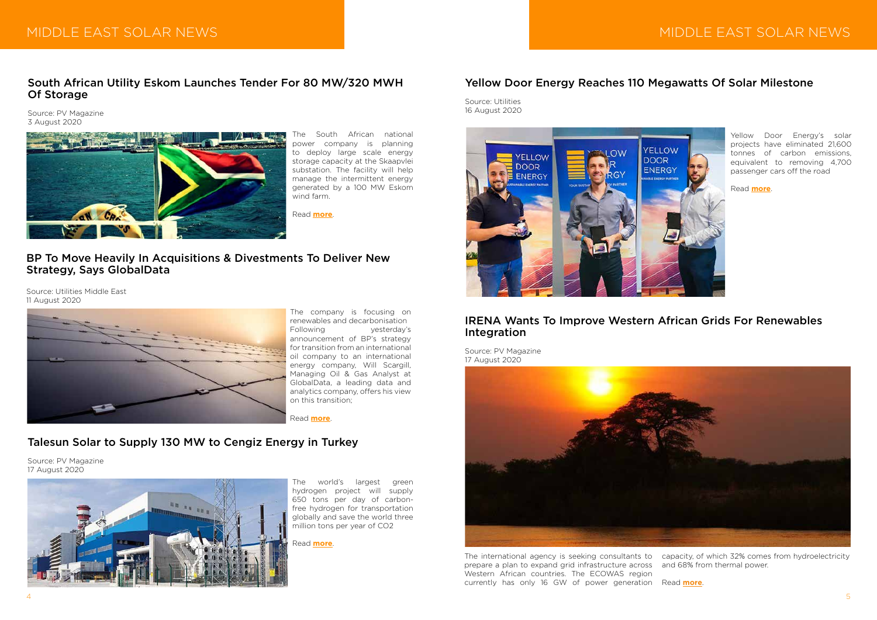# MIDDLE EAST SOLAR NEWS

#### IRENA Wants To Improve Western African Grids For Renewables Integration

Source: PV Magazine 17 August 2020



Yellow Door Energy's solar projects have eliminated 21,600 tonnes of carbon emissions, equivalent to removing 4,700 passenger cars off the road

Read **[more](https://www.utilities-me.com/news/15844-yellow-door-energy-reaches-110-megawatts-of-solar-milestone)**.

#### Yellow Door Energy Reaches 110 Megawatts Of Solar Milestone

Source: Utilities 16 August 2020



#### BP To Move Heavily In Acquisitions & Divestments To Deliver New Strategy, Says GlobalData

Source: Utilities Middle East 11 August 2020



The world's largest green hydrogen project will supply 650 tons per day of carbonfree hydrogen for transportation globally and save the world three million tons per year of CO2

Read **[more](https://www.pv-magazine.com/press-releases/talesun-solar-to-supply-130-mw-to-cengiz-energy-in-turkey/)**.

## Talesun Solar to Supply 130 MW to Cengiz Energy in Turkey

Source: PV Magazine 17 August 2020



The international agency is seeking consultants to capacity, of which 32% comes from hydroelectricity prepare a plan to expand grid infrastructure across Western African countries. The ECOWAS region currently has only 16 GW of power generation Read **[more](https://www.pv-magazine.com/2020/08/17/irena-wants-to-improve-western-african-grids-for-renewables-integration/)**.

The company is focusing on renewables and decarbonisation Following yesterday's announcement of BP's strategy for transition from an international oil company to an international energy company, Will Scargill, Managing Oil & Gas Analyst at GlobalData, a leading data and analytics company, offers his view on this transition;

Read **[more](https://www.utilities-me.com/power/15819-bp-to-move-heavily-in-acquisitions-divestments-to-deliver-new-strategy-says-globaldata)**.

#### South African Utility Eskom Launches Tender For 80 MW/320 MWH Of Storage

Source: PV Magazine 3 August 2020



The South African national power company is planning to deploy large scale energy storage capacity at the Skaapvlei substation. The facility will help manage the intermittent energy generated by a 100 MW Eskom wind farm.

Read **[more](https://www.pv-magazine.com/2020/08/03/south-african-utility-eskom-launches-tender-for-80-mw-320-mwh-of-storage/)**.

and 68% from thermal power.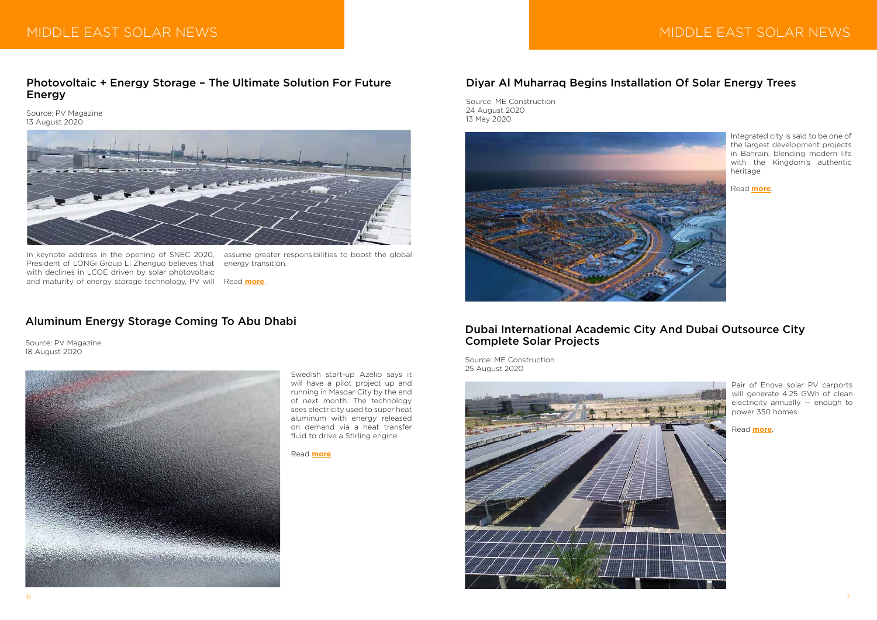# MIDDLE EAST SOLAR NEWS



#### Photovoltaic + Energy Storage – The Ultimate Solution For Future Energy

Source: PV Magazine 13 August 2020



Swedish start-up Azelio says it will have a pilot project up and running in Masdar City by the end of next month. The technology sees electricity used to super heat aluminum with energy released on demand via a heat transfer fluid to drive a Stirling engine.

Read **[more](https://www.pv-magazine.com/2020/08/18/aluminum-energy-storage-coming-to-abu-dhabi/)**.

#### Aluminum Energy Storage Coming To Abu Dhabi

Source: PV Magazine 18 August 2020



President of LONGi Group Li Zhenguo believes that with declines in LCOE driven by solar photovoltaic and maturity of energy storage technology, PV will

In keynote address in the opening of SNEC 2020, assume greater responsibilities to boost the global energy transition.

Read **[more](https://www.pv-magazine.com/press-releases/photovoltaic-energy-storage-the-ultimate-solution-for-future-energy/)**.

### Diyar Al Muharraq Begins Installation Of Solar Energy Trees

Source: ME Construction 24 August 2020 13 May 2020



Pair of Enova solar PV carports will generate 4.25 GWh of clean electricity annually — enough to power 350 homes

Read **[more](https://meconstructionnews.com/43058/dubai-international-academic-city-and-dubai-outsource-city-complete-solar-projects)**.

#### Dubai International Academic City And Dubai Outsource City Complete Solar Projects

Source: ME Construction 25 August 2020

Integrated city is said to be one of the largest development projects in Bahrain, blending modern life with the Kingdom's authentic heritage

Read **[more](https://meconstructionnews.com/43024/diyar-al-muharraq-begins-installation-of-solar-energy-trees)**.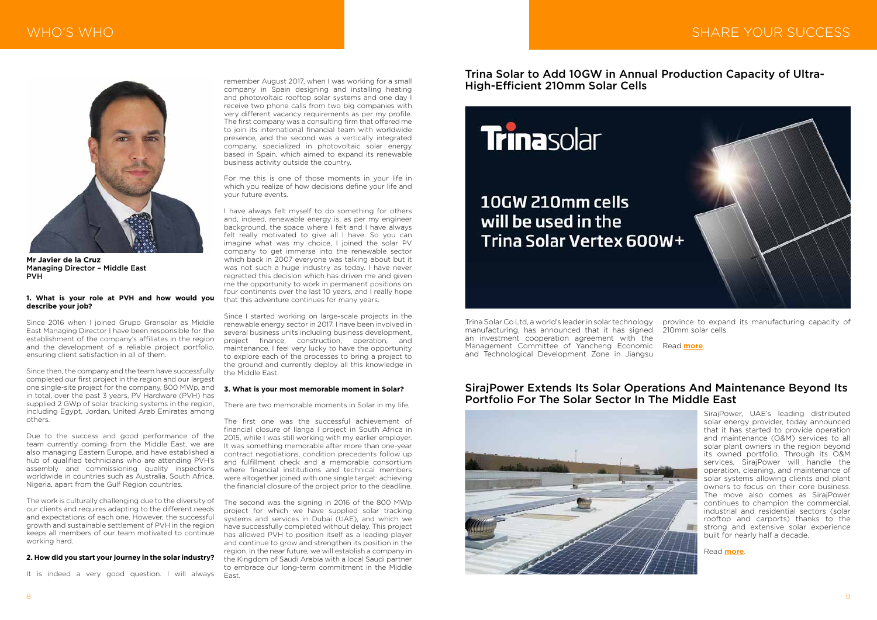# WHO'S WHO SAN INTERNATIONAL CONTROL IN THE SERVICE OF SHARE YOUR SUCCESS



#### **1. What is your role at PVH and how would you describe your job?**

Since 2016 when I joined Grupo Gransolar as Middle East Managing Director I have been responsible for the establishment of the company's affiliates in the region and the development of a reliable project portfolio, ensuring client satisfaction in all of them.

Since then, the company and the team have successfully completed our first project in the region and our largest one single-site project for the company, 800 MWp, and in total, over the past 3 years, PV Hardware (PVH) has supplied 2 GWp of solar tracking systems in the region, including Egypt, Jordan, United Arab Emirates among others.

Due to the success and good performance of the team currently coming from the Middle East, we are also managing Eastern Europe, and have established a hub of qualified technicians who are attending PVH's assembly and commissioning quality inspections worldwide in countries such as Australia, South Africa, Nigeria, apart from the Gulf Region countries.

The work is culturally challenging due to the diversity of our clients and requires adapting to the different needs and expectations of each one. However, the successful growth and sustainable settlement of PVH in the region keeps all members of our team motivated to continue working hard.

#### **2. How did you start your journey in the solar industry?**

It is indeed a very good question. I will always



**Mr Javier de la Cruz** Managing Director – Middle East PVH

remember August 2017, when I was working for a small company in Spain designing and installing heating and photovoltaic rooftop solar systems and one day I receive two phone calls from two big companies with very different vacancy requirements as per my profile. The first company was a consulting firm that offered me to join its international financial team with worldwide presence, and the second was a vertically integrated company, specialized in photovoltaic solar energy based in Spain, which aimed to expand its renewable business activity outside the country.

For me this is one of those moments in your life in which you realize of how decisions define your life and your future events.

I have always felt myself to do something for others and, indeed, renewable energy is, as per my engineer background, the space where I felt and I have always felt really motivated to give all I have. So you can imagine what was my choice, I joined the solar PV company to get immerse into the renewable sector which back in 2007 everyone was talking about but it was not such a huge industry as today. I have never regretted this decision which has driven me and given me the opportunity to work in permanent positions on four continents over the last 10 years, and I really hope that this adventure continues for many years.

Since I started working on large-scale projects in the renewable energy sector in 2017, I have been involved in several business units including business development, project finance, construction, operation, and maintenance. I feel very lucky to have the opportunity to explore each of the processes to bring a project to the ground and currently deploy all this knowledge in the Middle East.

#### **3. What is your most memorable moment in Solar?**

There are two memorable moments in Solar in my life.

The first one was the successful achievement of financial closure of Ilanga I project in South Africa in 2015, while I was still working with my earlier employer. It was something memorable after more than one-year contract negotiations, condition precedents follow up and fulfillment check and a memorable consortium where financial institutions and technical members were altogether joined with one single target: achieving the financial closure of the project prior to the deadline.

The second was the signing in 2016 of the 800 MWp project for which we have supplied solar tracking systems and services in Dubai (UAE), and which we have successfully completed without delay. This project has allowed PVH to position itself as a leading player and continue to grow and strengthen its position in the region. In the near future, we will establish a company in the Kingdom of Saudi Arabia with a local Saudi partner to embrace our long-term commitment in the Middle East.

#### SirajPower Extends Its Solar Operations And Maintenance Beyond Its Portfolio For The Solar Sector In The Middle East



Trina Solar Co Ltd, a world's leader in solar technology manufacturing, has announced that it has signed an investment cooperation agreement with the Management Committee of Yancheng Economic and Technological Development Zone in Jiangsu

Trina Solar to Add 10GW in Annual Production Capacity of Ultra-High-Efficient 210mm Solar Cells

# **Trinasolar**

# 10GW 210mm cells will be used in the Trina Solar Vertex 600W+

province to expand its manufacturing capacity of 210mm solar cells.

Read **[more](http://www.mesia.com/2020/09/05/trina-solar-to-add-10gw-in-annual-production-capacity-of-ultra-high-efficient-210mm-solar-cells/)**.

SirajPower, UAE's leading distributed solar energy provider, today announced that it has started to provide operation and maintenance (O&M) services to all solar plant owners in the region beyond its owned portfolio. Through its O&M services, SirajPower will handle the operation, cleaning, and maintenance of solar systems allowing clients and plant owners to focus on their core business. The move also comes as SirajPower continues to champion the commercial, industrial and residential sectors (solar rooftop and carports) thanks to the strong and extensive solar experience built for nearly half a decade.

Read **[more](http://www.mesia.com/2020/09/05/sirajpower-extends-its-solar-operations-and-maintenance-beyond-its-portfolio-for-the-solar-sector-in-the-middle-east/)**.